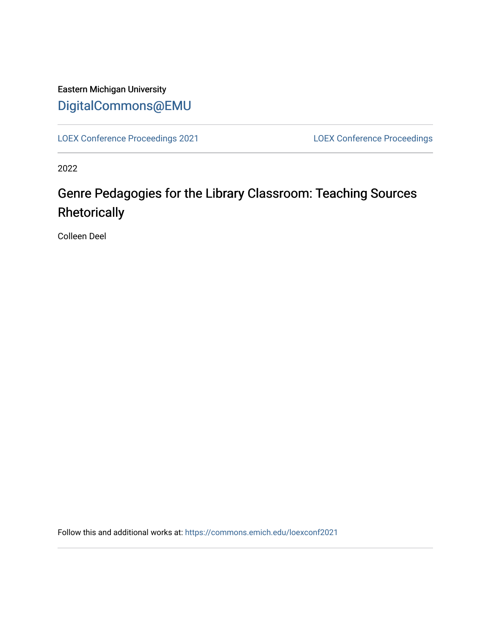### Eastern Michigan University [DigitalCommons@EMU](https://commons.emich.edu/)

[LOEX Conference Proceedings 2021](https://commons.emich.edu/loexconf2021) [LOEX Conference Proceedings](https://commons.emich.edu/loexconf) 

2022

# Genre Pedagogies for the Library Classroom: Teaching Sources **Rhetorically**

Colleen Deel

Follow this and additional works at: [https://commons.emich.edu/loexconf2021](https://commons.emich.edu/loexconf2021?utm_source=commons.emich.edu%2Floexconf2021%2F18&utm_medium=PDF&utm_campaign=PDFCoverPages)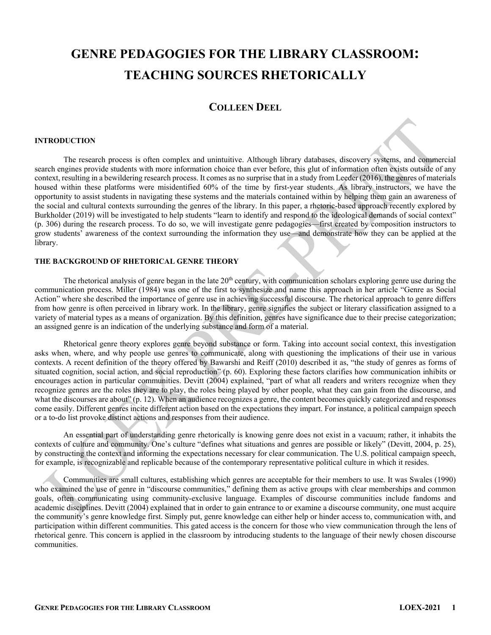## **GENRE PEDAGOGIES FOR THE LIBRARY CLASSROOM: TEACHING SOURCES RHETORICALLY**

### **COLLEEN DEEL**

#### **INTRODUCTION**

The research process is often complex and unintuitive. Although library databases, discovery systems, and commercial search engines provide students with more information choice than ever before, this glut of information often exists outside of any context, resulting in a bewildering research process. It comes as no surprise that in a study from Leeder (2016), the genres of materials housed within these platforms were misidentified 60% of the time by first-year students. As library instructors, we have the opportunity to assist students in navigating these systems and the materials contained within by helping them gain an awareness of the social and cultural contexts surrounding the genres of the library. In this paper, a rhetoric-based approach recently explored by Burkholder (2019) will be investigated to help students "learn to identify and respond to the ideological demands of social context" (p. 306) during the research process. To do so, we will investigate genre pedagogies—first created by composition instructors to grow students' awareness of the context surrounding the information they use—and demonstrate how they can be applied at the library.

#### **THE BACKGROUND OF RHETORICAL GENRE THEORY**

The rhetorical analysis of genre began in the late  $20<sup>th</sup>$  century, with communication scholars exploring genre use during the communication process. Miller (1984) was one of the first to synthesize and name this approach in her article "Genre as Social Action" where she described the importance of genre use in achieving successful discourse. The rhetorical approach to genre differs from how genre is often perceived in library work. In the library, genre signifies the subject or literary classification assigned to a variety of material types as a means of organization. By this definition, genres have significance due to their precise categorization; an assigned genre is an indication of the underlying substance and form of a material.

Rhetorical genre theory explores genre beyond substance or form. Taking into account social context, this investigation asks when, where, and why people use genres to communicate, along with questioning the implications of their use in various contexts. A recent definition of the theory offered by Bawarshi and Reiff (2010) described it as, "the study of genres as forms of situated cognition, social action, and social reproduction" (p. 60). Exploring these factors clarifies how communication inhibits or encourages action in particular communities. Devitt (2004) explained, "part of what all readers and writers recognize when they recognize genres are the roles they are to play, the roles being played by other people, what they can gain from the discourse, and what the discourses are about" (p. 12). When an audience recognizes a genre, the content becomes quickly categorized and responses come easily. Different genres incite different action based on the expectations they impart. For instance, a political campaign speech or a to-do list provoke distinct actions and responses from their audience.

An essential part of understanding genre rhetorically is knowing genre does not exist in a vacuum; rather, it inhabits the contexts of culture and community. One's culture "defines what situations and genres are possible or likely" (Devitt, 2004, p. 25), by constructing the context and informing the expectations necessary for clear communication. The U.S. political campaign speech, for example, is recognizable and replicable because of the contemporary representative political culture in which it resides.

Communities are small cultures, establishing which genres are acceptable for their members to use. It was Swales (1990) who examined the use of genre in "discourse communities," defining them as active groups with clear memberships and common goals, often communicating using community-exclusive language. Examples of discourse communities include fandoms and academic disciplines. Devitt (2004) explained that in order to gain entrance to or examine a discourse community, one must acquire the community's genre knowledge first. Simply put, genre knowledge can either help or hinder access to, communication with, and participation within different communities. This gated access is the concern for those who view communication through the lens of rhetorical genre. This concern is applied in the classroom by introducing students to the language of their newly chosen discourse communities.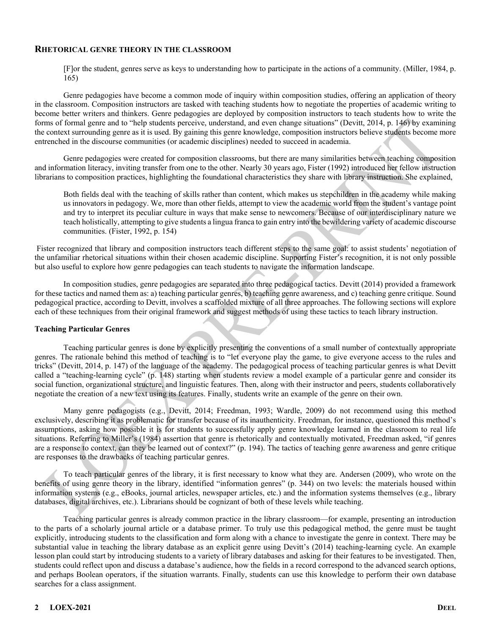#### **RHETORICAL GENRE THEORY IN THE CLASSROOM**

[F]or the student, genres serve as keys to understanding how to participate in the actions of a community. (Miller, 1984, p. 165)

Genre pedagogies have become a common mode of inquiry within composition studies, offering an application of theory in the classroom. Composition instructors are tasked with teaching students how to negotiate the properties of academic writing to become better writers and thinkers. Genre pedagogies are deployed by composition instructors to teach students how to write the forms of formal genre and to "help students perceive, understand, and even change situations" (Devitt, 2014, p. 146) by examining the context surrounding genre as it is used. By gaining this genre knowledge, composition instructors believe students become more entrenched in the discourse communities (or academic disciplines) needed to succeed in academia.

Genre pedagogies were created for composition classrooms, but there are many similarities between teaching composition and information literacy, inviting transfer from one to the other. Nearly 30 years ago, Fister (1992) introduced her fellow instruction librarians to composition practices, highlighting the foundational characteristics they share with library instruction. She explained,

Both fields deal with the teaching of skills rather than content, which makes us stepchildren in the academy while making us innovators in pedagogy. We, more than other fields, attempt to view the academic world from the student's vantage point and try to interpret its peculiar culture in ways that make sense to newcomers. Because of our interdisciplinary nature we teach holistically, attempting to give students a lingua franca to gain entry into the bewildering variety of academic discourse communities. (Fister, 1992, p. 154)

Fister recognized that library and composition instructors teach different steps to the same goal: to assist students' negotiation of the unfamiliar rhetorical situations within their chosen academic discipline. Supporting Fister's recognition, it is not only possible but also useful to explore how genre pedagogies can teach students to navigate the information landscape.

In composition studies, genre pedagogies are separated into three pedagogical tactics. Devitt (2014) provided a framework for these tactics and named them as: a) teaching particular genres, b) teaching genre awareness, and c) teaching genre critique. Sound pedagogical practice, according to Devitt, involves a scaffolded mixture of all three approaches. The following sections will explore each of these techniques from their original framework and suggest methods of using these tactics to teach library instruction.

#### **Teaching Particular Genres**

Teaching particular genres is done by explicitly presenting the conventions of a small number of contextually appropriate genres. The rationale behind this method of teaching is to "let everyone play the game, to give everyone access to the rules and tricks" (Devitt, 2014, p. 147) of the language of the academy. The pedagogical process of teaching particular genres is what Devitt called a "teaching-learning cycle" (p. 148) starting when students review a model example of a particular genre and consider its social function, organizational structure, and linguistic features. Then, along with their instructor and peers, students collaboratively negotiate the creation of a new text using its features. Finally, students write an example of the genre on their own.

Many genre pedagogists (e.g., Devitt, 2014; Freedman, 1993; Wardle, 2009) do not recommend using this method exclusively, describing it as problematic for transfer because of its inauthenticity. Freedman, for instance, questioned this method's assumptions, asking how possible it is for students to successfully apply genre knowledge learned in the classroom to real life situations. Referring to Miller's (1984) assertion that genre is rhetorically and contextually motivated, Freedman asked, "if genres are a response to context, can they be learned out of context?" (p. 194). The tactics of teaching genre awareness and genre critique are responses to the drawbacks of teaching particular genres.

To teach particular genres of the library, it is first necessary to know what they are. Andersen (2009), who wrote on the benefits of using genre theory in the library, identified "information genres" (p. 344) on two levels: the materials housed within information systems (e.g., eBooks, journal articles, newspaper articles, etc.) and the information systems themselves (e.g., library databases, digital archives, etc.). Librarians should be cognizant of both of these levels while teaching.

Teaching particular genres is already common practice in the library classroom—for example, presenting an introduction to the parts of a scholarly journal article or a database primer. To truly use this pedagogical method, the genre must be taught explicitly, introducing students to the classification and form along with a chance to investigate the genre in context. There may be substantial value in teaching the library database as an explicit genre using Devitt's (2014) teaching-learning cycle. An example lesson plan could start by introducing students to a variety of library databases and asking for their features to be investigated. Then, students could reflect upon and discuss a database's audience, how the fields in a record correspond to the advanced search options, and perhaps Boolean operators, if the situation warrants. Finally, students can use this knowledge to perform their own database searches for a class assignment.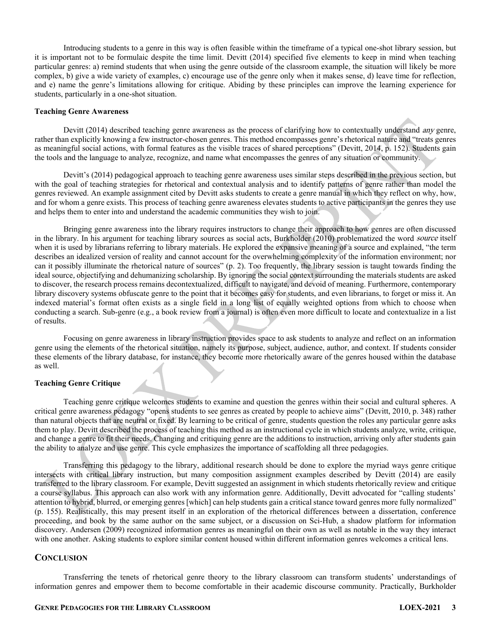Introducing students to a genre in this way is often feasible within the timeframe of a typical one-shot library session, but it is important not to be formulaic despite the time limit. Devitt (2014) specified five elements to keep in mind when teaching particular genres: a) remind students that when using the genre outside of the classroom example, the situation will likely be more complex, b) give a wide variety of examples, c) encourage use of the genre only when it makes sense, d) leave time for reflection, and e) name the genre's limitations allowing for critique. Abiding by these principles can improve the learning experience for students, particularly in a one-shot situation.

#### **Teaching Genre Awareness**

Devitt (2014) described teaching genre awareness as the process of clarifying how to contextually understand *any* genre, rather than explicitly knowing a few instructor-chosen genres. This method encompasses genre's rhetorical nature and "treats genres as meaningful social actions, with formal features as the visible traces of shared perceptions" (Devitt, 2014, p. 152). Students gain the tools and the language to analyze, recognize, and name what encompasses the genres of any situation or community.

Devitt's (2014) pedagogical approach to teaching genre awareness uses similar steps described in the previous section, but with the goal of teaching strategies for rhetorical and contextual analysis and to identify patterns of genre rather than model the genres reviewed. An example assignment cited by Devitt asks students to create a genre manual in which they reflect on why, how, and for whom a genre exists. This process of teaching genre awareness elevates students to active participants in the genres they use and helps them to enter into and understand the academic communities they wish to join.

Bringing genre awareness into the library requires instructors to change their approach to how genres are often discussed in the library. In his argument for teaching library sources as social acts, Burkholder (2010) problematized the word source itself when it is used by librarians referring to library materials. He explored the expansive meaning of a source and explained, "the term describes an idealized version of reality and cannot account for the overwhelming complexity of the information environment; nor can it possibly illuminate the rhetorical nature of sources" (p. 2). Too frequently, the library session is taught towards finding the ideal source, objectifying and dehumanizing scholarship. By ignoring the social context surrounding the materials students are asked to discover, the research process remains decontextualized, difficult to navigate, and devoid of meaning. Furthermore, contemporary library discovery systems obfuscate genre to the point that it becomes easy for students, and even librarians, to forget or miss it. An indexed material's format often exists as a single field in a long list of equally weighted options from which to choose when conducting a search. Sub-genre (e.g., a book review from a journal) is often even more difficult to locate and contextualize in a list of results.

Focusing on genre awareness in library instruction provides space to ask students to analyze and reflect on an information genre using the elements of the rhetorical situation, namely its purpose, subject, audience, author, and context. If students consider these elements of the library database, for instance, they become more rhetorically aware of the genres housed within the database as well.

#### **Teaching Genre Critique**

Teaching genre critique welcomes students to examine and question the genres within their social and cultural spheres. A critical genre awareness pedagogy "opens students to see genres as created by people to achieve aims" (Devitt, 2010, p. 348) rather than natural objects that are neutral or fixed. By learning to be critical of genre, students question the roles any particular genre asks them to play. Devitt described the process of teaching this method as an instructional cycle in which students analyze, write, critique, and change a genre to fit their needs. Changing and critiquing genre are the additions to instruction, arriving only after students gain the ability to analyze and use genre. This cycle emphasizes the importance of scaffolding all three pedagogies.

Transferring this pedagogy to the library, additional research should be done to explore the myriad ways genre critique intersects with critical library instruction, but many composition assignment examples described by Devitt (2014) are easily transferred to the library classroom. For example, Devitt suggested an assignment in which students rhetorically review and critique a course syllabus. This approach can also work with any information genre. Additionally, Devitt advocated for "calling students' attention to hybrid, blurred, or emerging genres [which] can help students gain a critical stance toward genres more fully normalized" (p. 155). Realistically, this may present itself in an exploration of the rhetorical differences between a dissertation, conference proceeding, and book by the same author on the same subject, or a discussion on Sci-Hub, a shadow platform for information discovery. Andersen (2009) recognized information genres as meaningful on their own as well as notable in the way they interact with one another. Asking students to explore similar content housed within different information genres welcomes a critical lens.

#### **CONCLUSION**

Transferring the tenets of rhetorical genre theory to the library classroom can transform students' understandings of information genres and empower them to become comfortable in their academic discourse community. Practically, Burkholder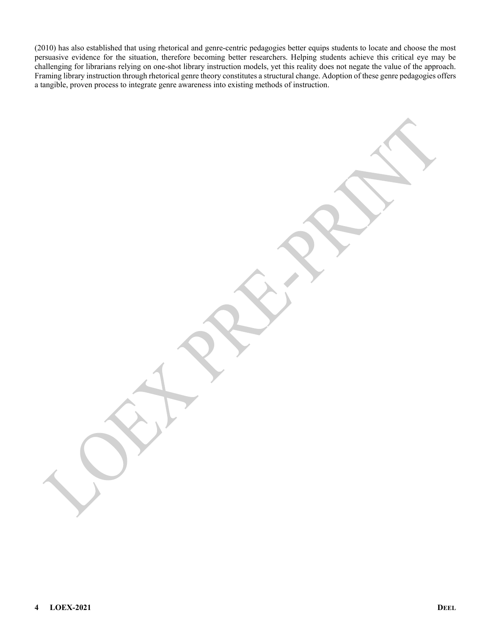(2010) has also established that using rhetorical and genre-centric pedagogies better equips students to locate and choose the most persuasive evidence for the situation, therefore becoming better researchers. Helping students achieve this critical eye may be challenging for librarians relying on one-shot library instruction models, yet this reality does not negate the value of the approach. Framing library instruction through rhetorical genre theory constitutes a structural change. Adoption of these genre pedagogies offers a tangible, proven process to integrate genre awareness into existing methods of instruction.